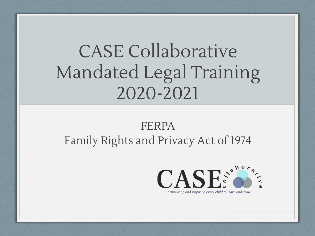# CASE Collaborative Mandated Legal Training 2020-2021

### FERPA Family Rights and Privacy Act of 1974

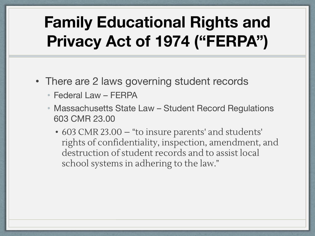### **Family Educational Rights and Privacy Act of 1974 ("FERPA")**

- There are 2 laws governing student records
	- Federal Law FERPA
	- Massachusetts State Law Student Record Regulations 603 CMR 23.00
		- 603 CMR 23.00 "to insure parents' and students' rights of confidentiality, inspection, amendment, and destruction of student records and to assist local school systems in adhering to the law."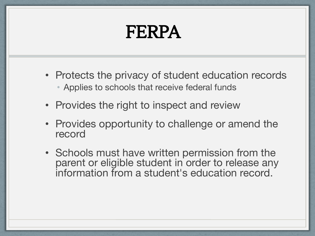# FERPA

- Protects the privacy of student education records • Applies to schools that receive federal funds
- Provides the right to inspect and review
- Provides opportunity to challenge or amend the record
- Schools must have written permission from the parent or eligible student in order to release any information from a student's education record.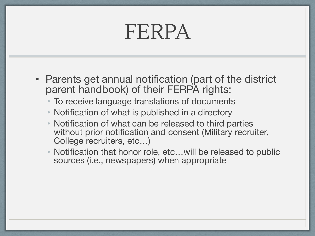# FERPA

- Parents get annual notification (part of the district parent handbook) of their FERPA rights:
	- To receive language translations of documents
	- Notification of what is published in a directory
	- Notification of what can be released to third parties without prior notification and consent (Military recruiter, College recruiters, etc…)
	- Notification that honor role, etc...will be released to public sources (i.e., newspapers) when appropriate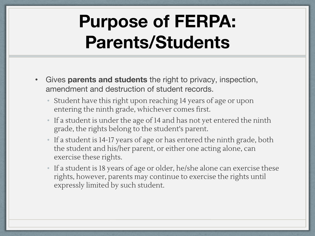# **Purpose of FERPA: Parents/Students**

- Gives **parents and students** the right to privacy, inspection, amendment and destruction of student records.
	- Student have this right upon reaching 14 years of age or upon entering the ninth grade, whichever comes first.
	- If a student is under the age of 14 and has not yet entered the ninth grade, the rights belong to the student's parent.
	- If a student is 14-17 years of age or has entered the ninth grade, both the student and his/her parent, or either one acting alone, can exercise these rights.
	- If a student is 18 years of age or older, he/she alone can exercise these rights, however, parents may continue to exercise the rights until expressly limited by such student.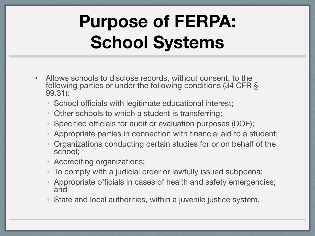# **Purpose of FERPA: School Systems**

- Allows schools to disclose records, without consent, to the following parties or under the following conditions (34 CFR § 99.31):
	- School officials with legitimate educational interest;
	- Other schools to which a student is transferring;
	- Specified officials for audit or evaluation purposes (DOE);
	- Appropriate parties in connection with financial aid to a student;
	- Organizations conducting certain studies for or on behalf of the school;
	- Accrediting organizations;
	- To comply with a judicial order or lawfully issued subpoena;
	- Appropriate officials in cases of health and safety emergencies; and
	- State and local authorities, within a juvenile justice system.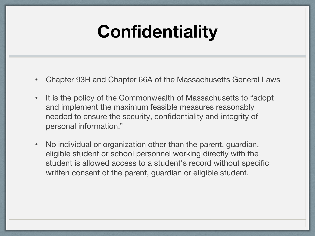### **Confidentiality**

- Chapter 93H and Chapter 66A of the Massachusetts General Laws
- It is the policy of the Commonwealth of Massachusetts to "adopt and implement the maximum feasible measures reasonably needed to ensure the security, confidentiality and integrity of personal information."
- No individual or organization other than the parent, guardian, eligible student or school personnel working directly with the student is allowed access to a student's record without specific written consent of the parent, guardian or eligible student.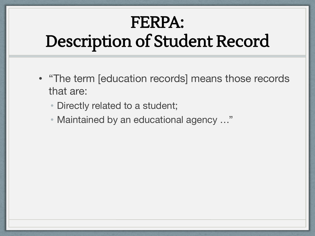## FERPA: Description of Student Record

- "The term [education records] means those records that are:
	- Directly related to a student;
	- Maintained by an educational agency …"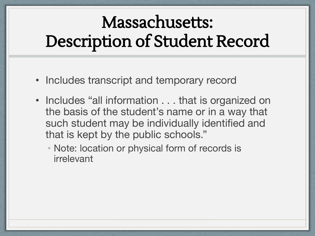# Massachusetts: Description of Student Record

- Includes transcript and temporary record
- Includes "all information . . . that is organized on the basis of the student's name or in a way that such student may be individually identified and that is kept by the public schools."
	- Note: location or physical form of records is irrelevant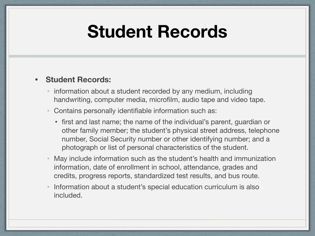### **Student Records**

#### **• Student Records:**

- information about a student recorded by any medium, including handwriting, computer media, microfilm, audio tape and video tape.
- Contains personally identifiable information such as:
	- first and last name; the name of the individual's parent, guardian or other family member; the student's physical street address, telephone number, Social Security number or other identifying number; and a photograph or list of personal characteristics of the student.
- May include information such as the student's health and immunization information, date of enrollment in school, attendance, grades and credits, progress reports, standardized test results, and bus route.
- Information about a student's special education curriculum is also included.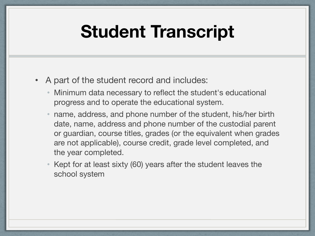### **Student Transcript**

- A part of the student record and includes:
	- Minimum data necessary to reflect the student's educational progress and to operate the educational system.
	- name, address, and phone number of the student, his/her birth date, name, address and phone number of the custodial parent or guardian, course titles, grades (or the equivalent when grades are not applicable), course credit, grade level completed, and the year completed.
	- Kept for at least sixty (60) years after the student leaves the school system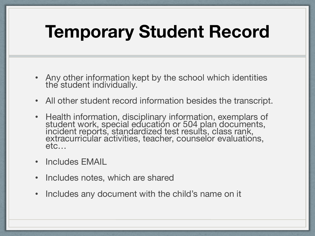# **Temporary Student Record**

- Any other information kept by the school which identities the student individually.
- All other student record information besides the transcript.
- Health information, disciplinary information, exemplars of student work, special education or 504 plan documents, incident reports, standardized test results, class rank, extracurricular activities, teacher, counselor evaluations, etc…
- Includes EMAIL
- Includes notes, which are shared
- Includes any document with the child's name on it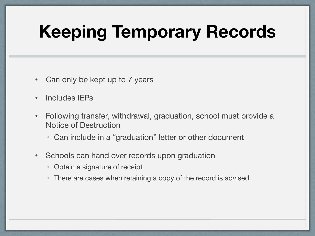# **Keeping Temporary Records**

- Can only be kept up to 7 years
- Includes IEPs
- Following transfer, withdrawal, graduation, school must provide a Notice of Destruction
	- Can include in a "graduation" letter or other document
- Schools can hand over records upon graduation
	- Obtain a signature of receipt
	- There are cases when retaining a copy of the record is advised.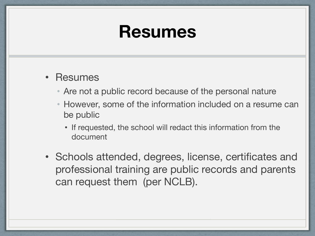### **Resumes**

- Resumes
	- Are not a public record because of the personal nature
	- However, some of the information included on a resume can be public
		- If requested, the school will redact this information from the document
- Schools attended, degrees, license, certificates and professional training are public records and parents can request them (per NCLB).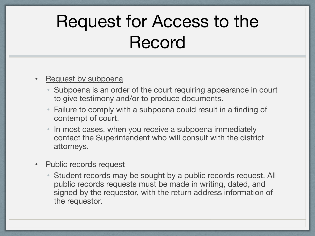# Request for Access to the Record

#### Request by subpoena

- Subpoena is an order of the court requiring appearance in court to give testimony and/or to produce documents.
- Failure to comply with a subpoena could result in a finding of contempt of court.
- In most cases, when you receive a subpoena immediately contact the Superintendent who will consult with the district attorneys.

#### **Public records request**

• Student records may be sought by a public records request. All public records requests must be made in writing, dated, and signed by the requestor, with the return address information of the requestor.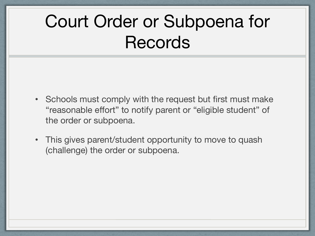# Court Order or Subpoena for **Records**

- Schools must comply with the request but first must make "reasonable effort" to notify parent or "eligible student" of the order or subpoena.
- This gives parent/student opportunity to move to quash (challenge) the order or subpoena.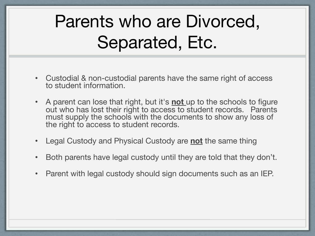# Parents who are Divorced, Separated, Etc.

- Custodial & non-custodial parents have the same right of access to student information.
- A parent can lose that right, but it's **not** up to the schools to figure out who has lost their right to access to student records. Parents must supply the schools with the documents to show any loss of the right to access to student records.
- Legal Custody and Physical Custody are **not** the same thing
- Both parents have legal custody until they are told that they don't.
- Parent with legal custody should sign documents such as an IEP.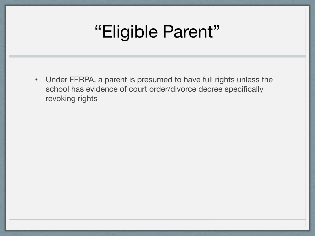### "Eligible Parent"

• Under FERPA, a parent is presumed to have full rights unless the school has evidence of court order/divorce decree specifically revoking rights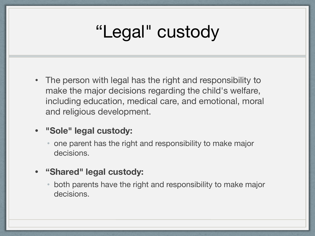# "Legal" custody

• The person with legal has the right and responsibility to make the major decisions regarding the child's welfare, including education, medical care, and emotional, moral and religious development.

#### **• "Sole" legal custody:**

- one parent has the right and responsibility to make major decisions.
- **• "Shared" legal custody:**
	- both parents have the right and responsibility to make major decisions.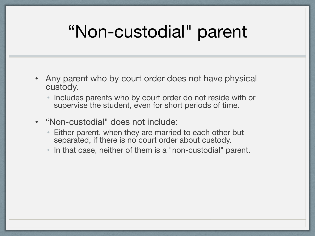### "Non-custodial" parent

- Any parent who by court order does not have physical custody.
	- Includes parents who by court order do not reside with or supervise the student, even for short periods of time.
- "Non-custodial" does not include:
	- Either parent, when they are married to each other but separated, if there is no court order about custody.
	- In that case, neither of them is a "non-custodial" parent.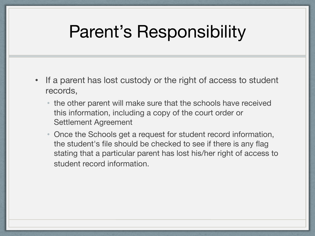### Parent's Responsibility

- If a parent has lost custody or the right of access to student records,
	- the other parent will make sure that the schools have received this information, including a copy of the court order or Settlement Agreement
	- Once the Schools get a request for student record information, the student's file should be checked to see if there is any flag stating that a particular parent has lost his/her right of access to student record information.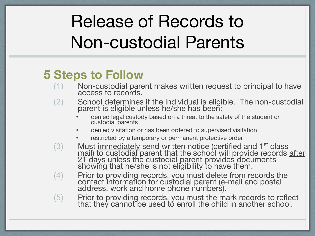# Release of Records to Non-custodial Parents

### **5 Steps to Follow**

- (1) Non-custodial parent makes written request to principal to have access to records.
- (2) School determines if the individual is eligible. The non-custodial parent is eligible unless he/she has been:
	- denied legal custody based on a threat to the safety of the student or custodial parents
	- denied visitation or has been ordered to supervised visitation
	- restricted by a temporary or permanent protective order
- (3) Must immediately send written notice (certified and 1<sup>st</sup> class mail) to custodial parent that the school will provide records after 21 days unless the custodial parent provides documents showing that he/she is not eligibility to have them.
- (4) Prior to providing records, you must delete from records the contact information for custodial parent (e-mail and postal address, work and home phone numbers).
- (5) Prior to providing records, you must the mark records to reflect that they cannot be used tó enroll the child in another school.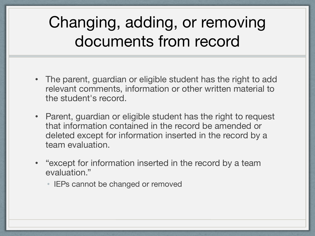### Changing, adding, or removing documents from record

- The parent, guardian or eligible student has the right to add relevant comments, information or other written material to the student's record.
- Parent, guardian or eligible student has the right to request that information contained in the record be amended or deleted except for information inserted in the record by a team evaluation.
- "except for information inserted in the record by a team evaluation."
	- IEPs cannot be changed or removed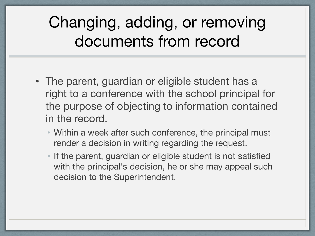### Changing, adding, or removing documents from record

- The parent, guardian or eligible student has a right to a conference with the school principal for the purpose of objecting to information contained in the record.
	- Within a week after such conference, the principal must render a decision in writing regarding the request.
	- If the parent, guardian or eligible student is not satisfied with the principal's decision, he or she may appeal such decision to the Superintendent.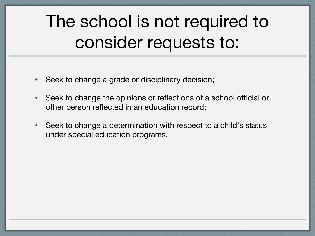# The school is not required to consider requests to:

- Seek to change a grade or disciplinary decision;
- Seek to change the opinions or reflections of a school official or other person reflected in an education record;
- Seek to change a determination with respect to a child's status under special education programs.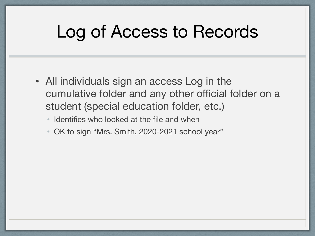### Log of Access to Records

- All individuals sign an access Log in the cumulative folder and any other official folder on a student (special education folder, etc.)
	- Identifies who looked at the file and when
	- OK to sign "Mrs. Smith, 2020-2021 school year"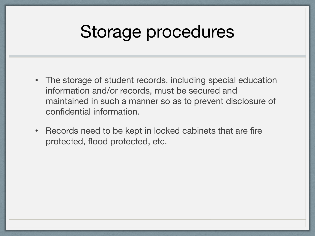### Storage procedures

- The storage of student records, including special education information and/or records, must be secured and maintained in such a manner so as to prevent disclosure of confidential information.
- Records need to be kept in locked cabinets that are fire protected, flood protected, etc.